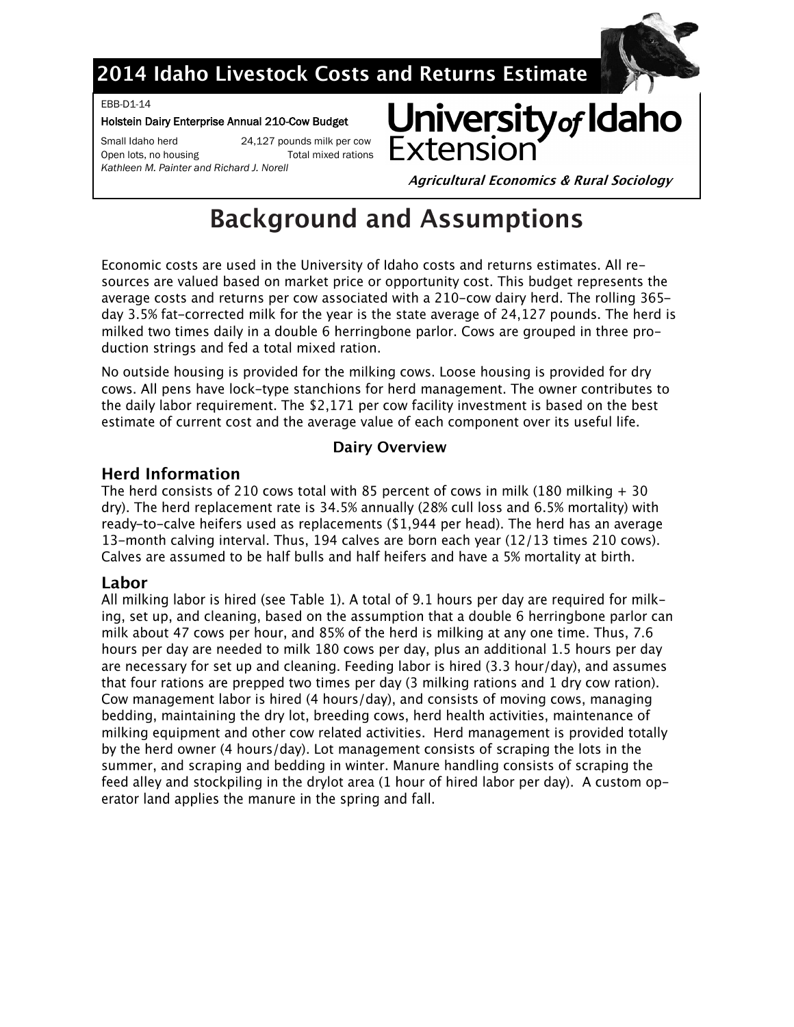# 2014 Idaho Livestock Costs and Returns Estimate

EBB-D1-14

#### Holstein Dairy Enterprise Annual 210-Cow Budget

Small Idaho herd 24,127 pounds milk per cow Open lots, no housing Total mixed rations Kathleen M. Painter and Richard J. Norell



**Agricultural Economics & Rural Sociology** 

# **Background and Assumptions**

Economic costs are used in the University of Idaho costs and returns estimates. All resources are valued based on market price or opportunity cost. This budget represents the average costs and returns per cow associated with a 210-cow dairy herd. The rolling 365day 3.5% fat-corrected milk for the year is the state average of 24,127 pounds. The herd is milked two times daily in a double 6 herringbone parlor. Cows are grouped in three production strings and fed a total mixed ration.

No outside housing is provided for the milking cows. Loose housing is provided for dry cows. All pens have lock-type stanchions for herd management. The owner contributes to the daily labor requirement. The \$2,171 per cow facility investment is based on the best estimate of current cost and the average value of each component over its useful life.

### **Dairy Overview**

### **Herd Information**

The herd consists of 210 cows total with 85 percent of cows in milk (180 milking  $+30$ dry). The herd replacement rate is 34.5% annually (28% cull loss and 6.5% mortality) with ready-to-calve heifers used as replacements (\$1,944 per head). The herd has an average 13-month calving interval. Thus, 194 calves are born each year (12/13 times 210 cows). Calves are assumed to be half bulls and half heifers and have a 5% mortality at birth.

### Labor

All milking labor is hired (see Table 1). A total of 9.1 hours per day are required for milking, set up, and cleaning, based on the assumption that a double 6 herringbone parlor can milk about 47 cows per hour, and 85% of the herd is milking at any one time. Thus, 7.6 hours per day are needed to milk 180 cows per day, plus an additional 1.5 hours per day are necessary for set up and cleaning. Feeding labor is hired (3.3 hour/day), and assumes that four rations are prepped two times per day (3 milking rations and 1 dry cow ration). Cow management labor is hired (4 hours/day), and consists of moving cows, managing bedding, maintaining the dry lot, breeding cows, herd health activities, maintenance of milking equipment and other cow related activities. Herd management is provided totally by the herd owner (4 hours/day). Lot management consists of scraping the lots in the summer, and scraping and bedding in winter. Manure handling consists of scraping the feed alley and stockpiling in the drylot area (1 hour of hired labor per day). A custom operator land applies the manure in the spring and fall.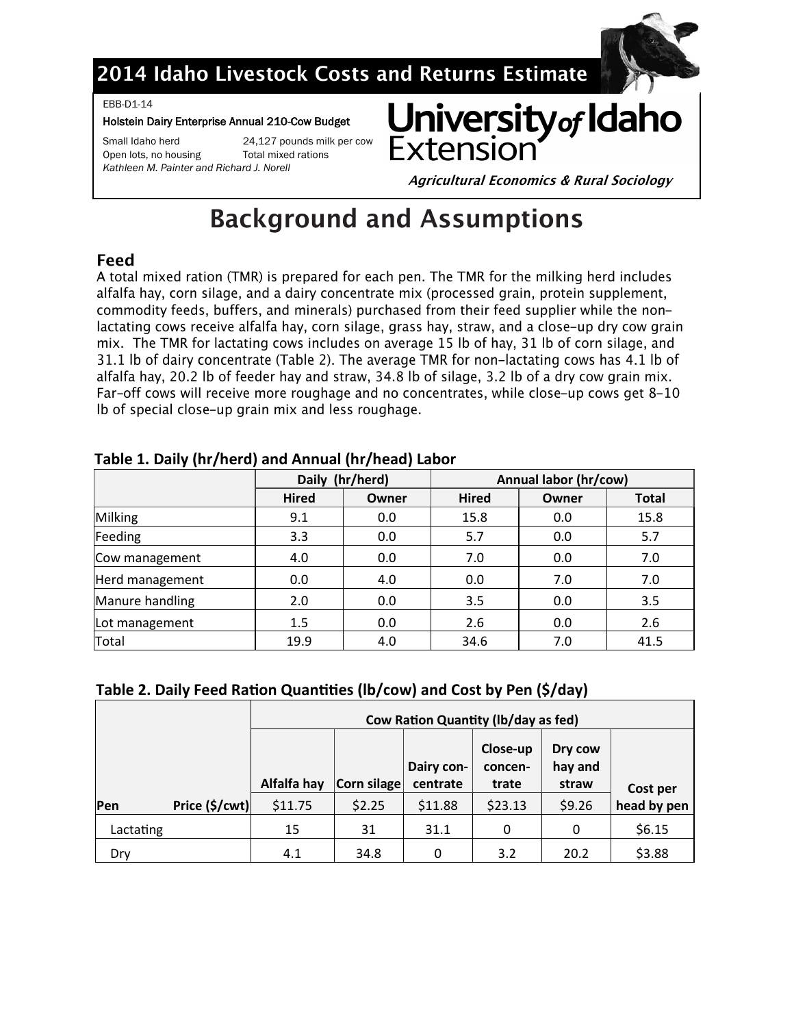

# 2014 Idaho Livestock Costs and Returns Estimate

#### EBB-D1-14

#### Holstein Dairy Enterprise Annual 210-Cow Budget

Open lots, no housing Total mixed rations

Small Idaho herd 24,127 pounds milk per cow

*Kathleen M. Painter and Richard J. Norell*



**Agricultural Economics & Rural Sociology** 

# **Background and Assumptions**

# Feed

A total mixed ration (TMR) is prepared for each pen. The TMR for the milking herd includes alfalfa hay, corn silage, and a dairy concentrate mix (processed grain, protein supplement, commodity feeds, buffers, and minerals) purchased from their feed supplier while the nonlactating cows receive alfalfa hay, corn silage, grass hay, straw, and a close-up dry cow grain mix. The TMR for lactating cows includes on average 15 lb of hay, 31 lb of corn silage, and 31.1 lb of dairy concentrate (Table 2). The average TMR for non-lactating cows has 4.1 lb of alfalfa hay, 20.2 lb of feeder hay and straw, 34.8 lb of silage, 3.2 lb of a dry cow grain mix. Far-off cows will receive more roughage and no concentrates, while close-up cows get 8-10 Ib of special close-up grain mix and less roughage.

|                 |              | Daily (hr/herd) | Annual labor (hr/cow) |       |              |  |  |  |
|-----------------|--------------|-----------------|-----------------------|-------|--------------|--|--|--|
|                 | <b>Hired</b> | Owner           | <b>Hired</b>          | Owner | <b>Total</b> |  |  |  |
| Milking         | 9.1          | 0.0             | 15.8                  | 0.0   | 15.8         |  |  |  |
| Feeding         | 3.3          | 0.0             | 5.7                   | 0.0   | 5.7          |  |  |  |
| Cow management  | 4.0          | 0.0             | 7.0                   | 0.0   | 7.0          |  |  |  |
| Herd management | 0.0          | 4.0             | 0.0                   | 7.0   | 7.0          |  |  |  |
| Manure handling | 2.0          | 0.0             | 3.5                   | 0.0   | 3.5          |  |  |  |
| Lot management  | 1.5          | 0.0             | 2.6                   | 0.0   | 2.6          |  |  |  |
| Total           | 19.9         | 4.0             | 34.6                  | 7.0   | 41.5         |  |  |  |

### **Table 1. Daily (hr/herd) and Annual (hr/head) Labor**

## **Table 2. Daily Feed Ration Quantities (lb/cow) and Cost by Pen (\$/day)**

|            |                         | <b>Cow Ration Quantity (Ib/day as fed)</b> |             |          |                     |                    |             |  |  |  |  |
|------------|-------------------------|--------------------------------------------|-------------|----------|---------------------|--------------------|-------------|--|--|--|--|
|            |                         |                                            | Dairy con-  |          | Close-up<br>concen- | Dry cow<br>hay and |             |  |  |  |  |
|            |                         | Alfalfa hay                                | Corn silage | centrate | trate               | straw              | Cost per    |  |  |  |  |
| <b>Pen</b> | Price $(\frac{5}{cwt})$ | \$11.75                                    | \$2.25      | \$11.88  | \$23.13             | \$9.26             | head by pen |  |  |  |  |
| Lactating  |                         | 15                                         | 31          | 31.1     | 0                   | 0                  | \$6.15      |  |  |  |  |
| Dry        |                         | 4.1                                        | 34.8        |          | 3.2                 | 20.2               | \$3.88      |  |  |  |  |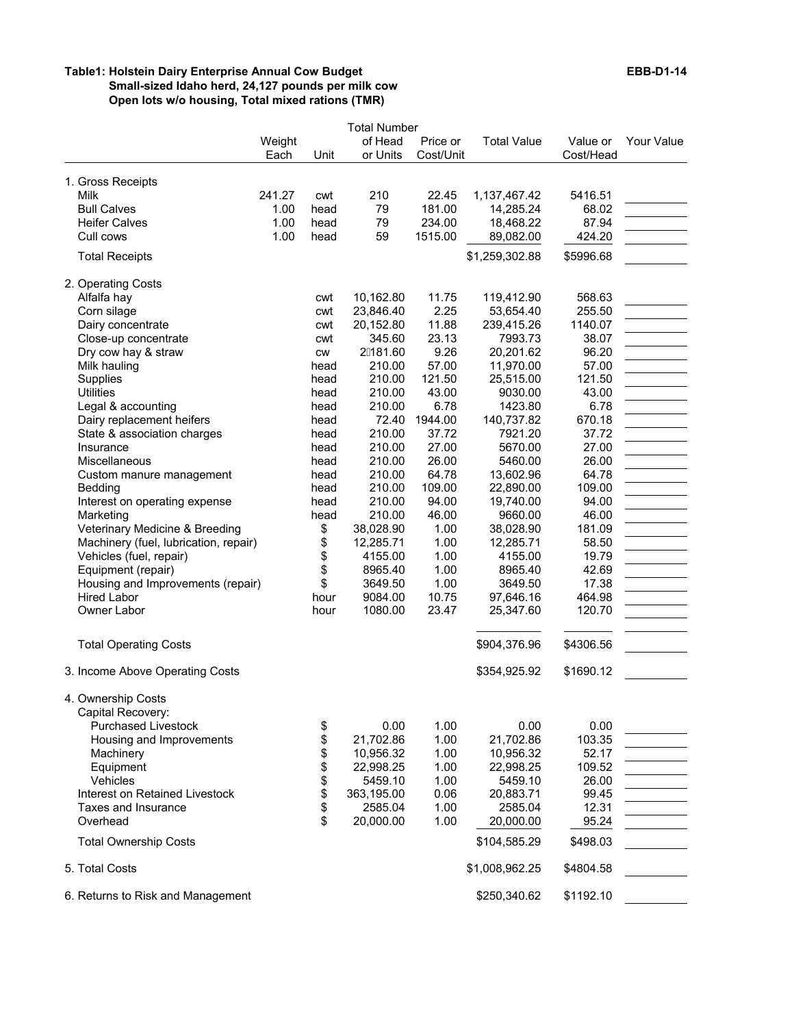#### **Table1: Holstein Dairy Enterprise Annual Cow Budget EBB-D1-14 Small-sized Idaho herd, 24,127 pounds per milk cow Open lots w/o housing, Total mixed rations (TMR)**

|                                                                                               | Weight                 |                          | <b>Total Number</b><br>of Head                | Price or                        | <b>Total Value</b>                               | Value or                             | Your Value |
|-----------------------------------------------------------------------------------------------|------------------------|--------------------------|-----------------------------------------------|---------------------------------|--------------------------------------------------|--------------------------------------|------------|
|                                                                                               | Each                   | Unit                     | or Units                                      | Cost/Unit                       |                                                  | Cost/Head                            |            |
| 1. Gross Receipts<br>Milk<br><b>Bull Calves</b><br><b>Heifer Calves</b>                       | 241.27<br>1.00<br>1.00 | cwt<br>head<br>head      | 210<br>79<br>79                               | 22.45<br>181.00<br>234.00       | 1,137,467.42<br>14,285.24<br>18,468.22           | 5416.51<br>68.02<br>87.94            |            |
| Cull cows                                                                                     | 1.00                   | head                     | 59                                            | 1515.00                         | 89,082.00                                        | 424.20                               |            |
| <b>Total Receipts</b>                                                                         |                        |                          |                                               |                                 | \$1,259,302.88                                   | \$5996.68                            |            |
| 2. Operating Costs<br>Alfalfa hay<br>Corn silage<br>Dairy concentrate<br>Close-up concentrate |                        | cwt<br>cwt<br>cwt<br>cwt | 10,162.80<br>23,846.40<br>20,152.80<br>345.60 | 11.75<br>2.25<br>11.88<br>23.13 | 119,412.90<br>53,654.40<br>239,415.26<br>7993.73 | 568.63<br>255.50<br>1140.07<br>38.07 |            |
| Dry cow hay & straw                                                                           |                        | <b>CW</b>                | 2日81.60                                       | 9.26                            | 20,201.62                                        | 96.20                                |            |
| Milk hauling<br>Supplies<br><b>Utilities</b>                                                  |                        | head<br>head<br>head     | 210.00<br>210.00<br>210.00                    | 57.00<br>121.50<br>43.00        | 11,970.00<br>25,515.00<br>9030.00                | 57.00<br>121.50<br>43.00             |            |
| Legal & accounting                                                                            |                        | head                     | 210.00                                        | 6.78                            | 1423.80                                          | 6.78                                 |            |
| Dairy replacement heifers<br>State & association charges                                      |                        | head<br>head             | 72.40<br>210.00                               | 1944.00<br>37.72                | 140,737.82<br>7921.20                            | 670.18<br>37.72                      |            |
| Insurance                                                                                     |                        | head                     | 210.00                                        | 27.00                           | 5670.00                                          | 27.00                                |            |
| Miscellaneous<br>Custom manure management                                                     |                        | head<br>head             | 210.00<br>210.00                              | 26.00<br>64.78                  | 5460.00<br>13,602.96                             | 26.00<br>64.78                       |            |
| Bedding                                                                                       |                        | head                     | 210.00                                        | 109.00                          | 22,890.00                                        | 109.00                               |            |
| Interest on operating expense<br>Marketing                                                    |                        | head<br>head             | 210.00<br>210.00                              | 94.00<br>46.00                  | 19,740.00<br>9660.00                             | 94.00<br>46.00                       |            |
| Veterinary Medicine & Breeding                                                                |                        | \$                       | 38,028.90                                     | 1.00                            | 38,028.90                                        | 181.09                               |            |
| Machinery (fuel, lubrication, repair)                                                         |                        | \$                       | 12,285.71                                     | 1.00                            | 12,285.71                                        | 58.50                                |            |
| Vehicles (fuel, repair)                                                                       |                        | \$                       | 4155.00                                       | 1.00                            | 4155.00                                          | 19.79                                |            |
| Equipment (repair)                                                                            |                        | \$                       | 8965.40                                       | 1.00                            | 8965.40                                          | 42.69                                |            |
| Housing and Improvements (repair)                                                             |                        | \$                       | 3649.50                                       | 1.00                            | 3649.50                                          | 17.38                                |            |
| Hired Labor<br>Owner Labor                                                                    |                        | hour<br>hour             | 9084.00<br>1080.00                            | 10.75<br>23.47                  | 97,646.16<br>25,347.60                           | 464.98<br>120.70                     |            |
| <b>Total Operating Costs</b>                                                                  |                        |                          |                                               |                                 | \$904,376.96                                     | \$4306.56                            |            |
| 3. Income Above Operating Costs                                                               |                        |                          |                                               |                                 | \$354,925.92                                     | \$1690.12                            |            |
| 4. Ownership Costs<br>Capital Recovery:                                                       |                        |                          |                                               |                                 |                                                  |                                      |            |
| <b>Purchased Livestock</b>                                                                    |                        | \$                       | 0.00                                          | 1.00                            | 0.00                                             | 0.00                                 |            |
| Housing and Improvements                                                                      |                        | \$                       | 21,702.86                                     | 1.00                            | 21,702.86                                        | 103.35                               |            |
| Machinery                                                                                     |                        | \$                       | 10,956.32                                     | 1.00                            | 10,956.32                                        | 52.17                                |            |
| Equipment<br>Vehicles                                                                         |                        | \$                       | 22,998.25                                     | 1.00                            | 22,998.25                                        | 109.52                               |            |
| Interest on Retained Livestock                                                                |                        | \$<br>\$                 | 5459.10<br>363,195.00                         | 1.00<br>0.06                    | 5459.10<br>20,883.71                             | 26.00<br>99.45                       |            |
| Taxes and Insurance                                                                           |                        | \$                       | 2585.04                                       | 1.00                            | 2585.04                                          | 12.31                                |            |
| Overhead                                                                                      |                        | \$                       | 20,000.00                                     | 1.00                            | 20,000.00                                        | 95.24                                |            |
| <b>Total Ownership Costs</b>                                                                  |                        |                          |                                               |                                 | \$104,585.29                                     | \$498.03                             |            |
| 5. Total Costs                                                                                |                        |                          |                                               |                                 | \$1,008,962.25                                   | \$4804.58                            |            |
| 6. Returns to Risk and Management                                                             |                        |                          |                                               |                                 | \$250,340.62                                     | \$1192.10                            |            |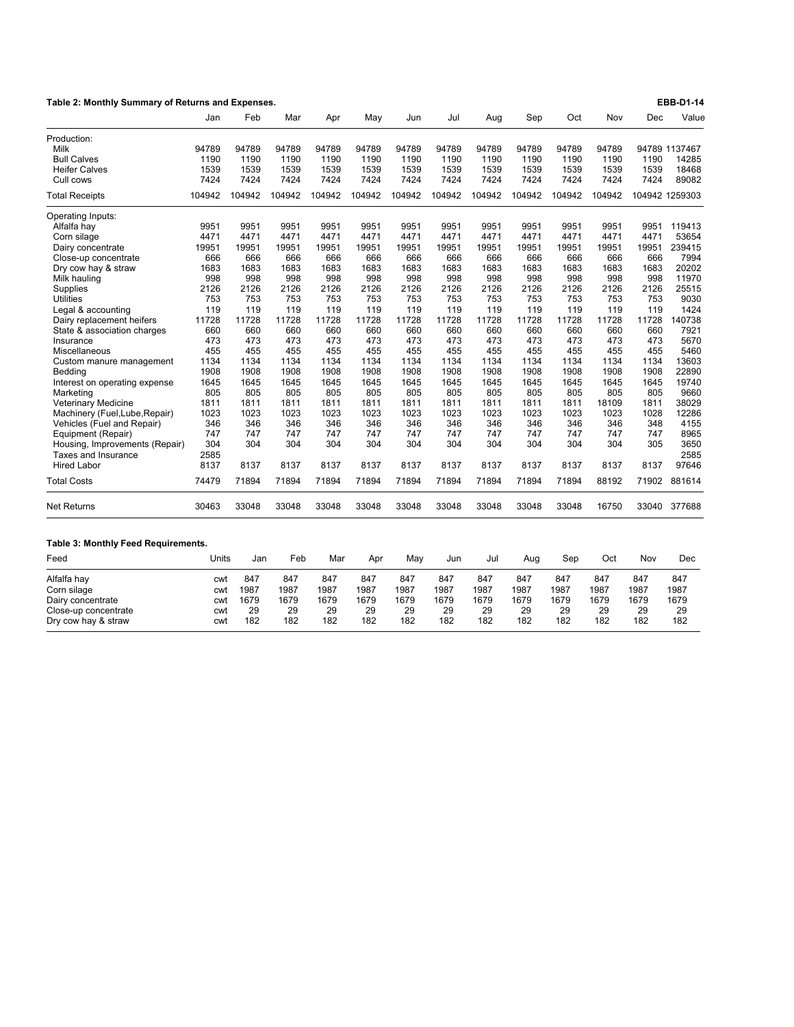| Table 2: Monthly Summary of Returns and Expenses.     |        |        |        |        |        |        |        |        |        |        |        |       | <b>EBB-D1-14</b> |
|-------------------------------------------------------|--------|--------|--------|--------|--------|--------|--------|--------|--------|--------|--------|-------|------------------|
|                                                       | Jan    | Feb    | Mar    | Apr    | Mav    | Jun    | Jul    | Aug    | Sep    | Oct    | Nov    | Dec   | Value            |
| Production:                                           |        |        |        |        |        |        |        |        |        |        |        |       |                  |
| Milk                                                  | 94789  | 94789  | 94789  | 94789  | 94789  | 94789  | 94789  | 94789  | 94789  | 94789  | 94789  |       | 94789 1137467    |
| <b>Bull Calves</b>                                    | 1190   | 1190   | 1190   | 1190   | 1190   | 1190   | 1190   | 1190   | 1190   | 1190   | 1190   | 1190  | 14285            |
| <b>Heifer Calves</b>                                  | 1539   | 1539   | 1539   | 1539   | 1539   | 1539   | 1539   | 1539   | 1539   | 1539   | 1539   | 1539  | 18468            |
| Cull cows                                             | 7424   | 7424   | 7424   | 7424   | 7424   | 7424   | 7424   | 7424   | 7424   | 7424   | 7424   | 7424  | 89082            |
| <b>Total Receipts</b>                                 | 104942 | 104942 | 104942 | 104942 | 104942 | 104942 | 104942 | 104942 | 104942 | 104942 | 104942 |       | 104942 1259303   |
| Operating Inputs:                                     |        |        |        |        |        |        |        |        |        |        |        |       |                  |
| Alfalfa hay                                           | 9951   | 9951   | 9951   | 9951   | 9951   | 9951   | 9951   | 9951   | 9951   | 9951   | 9951   | 9951  | 119413           |
| Corn silage                                           | 4471   | 4471   | 4471   | 4471   | 4471   | 4471   | 4471   | 4471   | 4471   | 4471   | 4471   | 4471  | 53654            |
| Dairy concentrate                                     | 19951  | 19951  | 19951  | 19951  | 19951  | 19951  | 19951  | 19951  | 19951  | 19951  | 19951  | 19951 | 239415           |
| Close-up concentrate                                  | 666    | 666    | 666    | 666    | 666    | 666    | 666    | 666    | 666    | 666    | 666    | 666   | 7994             |
| Dry cow hay & straw                                   | 1683   | 1683   | 1683   | 1683   | 1683   | 1683   | 1683   | 1683   | 1683   | 1683   | 1683   | 1683  | 20202            |
| Milk hauling                                          | 998    | 998    | 998    | 998    | 998    | 998    | 998    | 998    | 998    | 998    | 998    | 998   | 11970            |
| Supplies                                              | 2126   | 2126   | 2126   | 2126   | 2126   | 2126   | 2126   | 2126   | 2126   | 2126   | 2126   | 2126  | 25515            |
| <b>Utilities</b>                                      | 753    | 753    | 753    | 753    | 753    | 753    | 753    | 753    | 753    | 753    | 753    | 753   | 9030             |
| Legal & accounting                                    | 119    | 119    | 119    | 119    | 119    | 119    | 119    | 119    | 119    | 119    | 119    | 119   | 1424             |
| Dairy replacement heifers                             | 11728  | 11728  | 11728  | 11728  | 11728  | 11728  | 11728  | 11728  | 11728  | 11728  | 11728  | 11728 | 140738           |
| State & association charges                           | 660    | 660    | 660    | 660    | 660    | 660    | 660    | 660    | 660    | 660    | 660    | 660   | 7921             |
| Insurance                                             | 473    | 473    | 473    | 473    | 473    | 473    | 473    | 473    | 473    | 473    | 473    | 473   | 5670             |
| Miscellaneous                                         | 455    | 455    | 455    | 455    | 455    | 455    | 455    | 455    | 455    | 455    | 455    | 455   | 5460             |
| Custom manure management                              | 1134   | 1134   | 1134   | 1134   | 1134   | 1134   | 1134   | 1134   | 1134   | 1134   | 1134   | 1134  | 13603            |
| Bedding                                               | 1908   | 1908   | 1908   | 1908   | 1908   | 1908   | 1908   | 1908   | 1908   | 1908   | 1908   | 1908  | 22890            |
| Interest on operating expense                         | 1645   | 1645   | 1645   | 1645   | 1645   | 1645   | 1645   | 1645   | 1645   | 1645   | 1645   | 1645  | 19740            |
| Marketing                                             | 805    | 805    | 805    | 805    | 805    | 805    | 805    | 805    | 805    | 805    | 805    | 805   | 9660             |
|                                                       | 1811   | 1811   | 1811   | 1811   | 1811   | 1811   | 1811   | 1811   | 1811   | 1811   | 18109  | 1811  | 38029            |
| Veterinary Medicine                                   | 1023   | 1023   | 1023   | 1023   | 1023   | 1023   | 1023   | 1023   | 1023   | 1023   | 1023   | 1028  | 12286            |
| Machinery (Fuel, Lube, Repair)                        | 346    | 346    | 346    | 346    | 346    | 346    | 346    | 346    | 346    | 346    | 346    | 348   | 4155             |
| Vehicles (Fuel and Repair)                            | 747    | 747    | 747    | 747    | 747    | 747    | 747    | 747    | 747    | 747    | 747    | 747   | 8965             |
| Equipment (Repair)                                    | 304    | 304    | 304    | 304    | 304    | 304    | 304    | 304    | 304    | 304    | 304    | 305   |                  |
| Housing, Improvements (Repair)<br>Taxes and Insurance | 2585   |        |        |        |        |        |        |        |        |        |        |       | 3650<br>2585     |
|                                                       |        |        |        |        |        |        |        |        |        |        |        |       |                  |
| <b>Hired Labor</b>                                    | 8137   | 8137   | 8137   | 8137   | 8137   | 8137   | 8137   | 8137   | 8137   | 8137   | 8137   | 8137  | 97646            |
| <b>Total Costs</b>                                    | 74479  | 71894  | 71894  | 71894  | 71894  | 71894  | 71894  | 71894  | 71894  | 71894  | 88192  | 71902 | 881614           |
| <b>Net Returns</b>                                    | 30463  | 33048  | 33048  | 33048  | 33048  | 33048  | 33048  | 33048  | 33048  | 33048  | 16750  | 33040 | 377688           |
| <b>Table 3: Monthly Feed Requirements.</b>            |        |        |        |        |        |        |        |        |        |        |        |       |                  |
| Feed                                                  | Units  | Jan    | Feb    | Mar    | Apr    | May    | Jun    | Jul    | Aug    | Sep    | Oct    | Nov   | Dec              |
| Alfalfa hay                                           | cwt    | 847    | 847    | 847    | 847    | 847    | 847    | 847    | 847    | 847    | 847    | 847   | 847              |
| Corn silage                                           | cwt    | 1987   | 1987   | 1987   | 1987   | 1987   | 1987   | 1987   | 1987   | 1987   | 1987   | 1987  | 1987             |
| Dairy concentrate                                     | cwt    | 1679   | 1679   | 1679   | 1679   | 1679   | 1679   | 1679   | 1679   | 1679   | 1679   | 1679  | 1679             |
| Close-up concentrate                                  | cwt    | 29     | 29     | 29     | 29     | 29     | 29     | 29     | 29     | 29     | 29     | 29    | 29               |

Dry cow hay & straw cwt 182 182 182 182 182 182 182 182 182 182 182 182